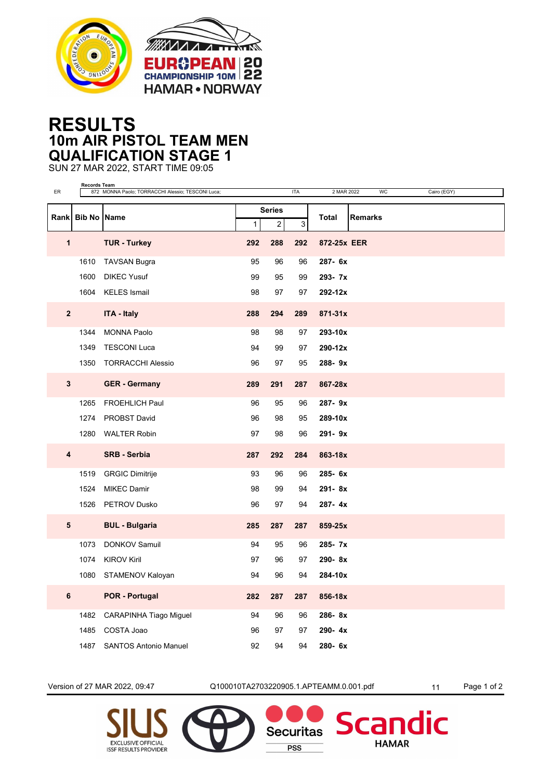



## **RESULTS 10m AIR PISTOL TEAM MEN QUALIFICATION STAGE 1**

SUN 27 MAR 2022, START TIME 09:05

| ER                      | <b>Records Team</b> | 872 MONNA Paolo; TORRACCHI Alessio; TESCONI Luca; |                                                      |     | <b>ITA</b>   | 2 MAR 2022     | <b>WC</b> | Cairo (EGY) |
|-------------------------|---------------------|---------------------------------------------------|------------------------------------------------------|-----|--------------|----------------|-----------|-------------|
|                         |                     |                                                   |                                                      |     |              |                |           |             |
|                         | Rank Bib No Name    |                                                   | <b>Series</b><br>$\overline{c}$<br>3<br>$\mathbf{1}$ |     | <b>Total</b> | <b>Remarks</b> |           |             |
| $\mathbf{1}$            |                     | <b>TUR - Turkey</b>                               | 292                                                  | 288 | 292          | 872-25x EER    |           |             |
|                         | 1610                | <b>TAVSAN Bugra</b>                               | 95                                                   | 96  | 96           | 287-6x         |           |             |
|                         | 1600                | <b>DIKEC Yusuf</b>                                | 99                                                   | 95  | 99           | 293-7x         |           |             |
|                         | 1604                | <b>KELES</b> Ismail                               | 98                                                   | 97  | 97           | 292-12x        |           |             |
| $\overline{\mathbf{2}}$ |                     | <b>ITA - Italy</b>                                | 288                                                  | 294 | 289          | $871 - 31x$    |           |             |
|                         | 1344                | <b>MONNA Paolo</b>                                | 98                                                   | 98  | 97           | 293-10x        |           |             |
|                         | 1349                | <b>TESCONI Luca</b>                               | 94                                                   | 99  | 97           | 290-12x        |           |             |
|                         |                     | 1350 TORRACCHI Alessio                            | 96                                                   | 97  | 95           | 288-9x         |           |             |
| 3                       |                     | <b>GER - Germany</b>                              | 289                                                  | 291 | 287          | 867-28x        |           |             |
|                         | 1265                | <b>FROEHLICH Paul</b>                             | 96                                                   | 95  | 96           | 287-9x         |           |             |
|                         | 1274                | PROBST David                                      | 96                                                   | 98  | 95           | 289-10x        |           |             |
|                         | 1280                | <b>WALTER Robin</b>                               | 97                                                   | 98  | 96           | 291-9x         |           |             |
| 4                       |                     | <b>SRB - Serbia</b>                               | 287                                                  | 292 | 284          | 863-18x        |           |             |
|                         | 1519                | <b>GRGIC Dimitrije</b>                            | 93                                                   | 96  | 96           | 285-6x         |           |             |
|                         | 1524                | <b>MIKEC Damir</b>                                | 98                                                   | 99  | 94           | 291-8x         |           |             |
|                         |                     | 1526 PETROV Dusko                                 | 96                                                   | 97  | 94           | 287-4x         |           |             |
| 5                       |                     | <b>BUL - Bulgaria</b>                             | 285                                                  | 287 | 287          | 859-25x        |           |             |
|                         | 1073                | <b>DONKOV Samuil</b>                              | 94                                                   | 95  | 96           | 285- 7x        |           |             |
|                         | 1074                | <b>KIROV Kiril</b>                                | 97                                                   | 96  | 97           | 290-8x         |           |             |
|                         | 1080                | STAMENOV Kaloyan                                  | 94                                                   | 96  | 94           | 284-10x        |           |             |
| $\bf 6$                 |                     | <b>POR - Portugal</b>                             | 282                                                  | 287 | 287          | 856-18x        |           |             |
|                         | 1482                | CARAPINHA Tiago Miguel                            | 94                                                   | 96  | 96           | 286-8x         |           |             |
|                         | 1485                | COSTA Joao                                        | 96                                                   | 97  | 97           | 290-4x         |           |             |
|                         | 1487                | <b>SANTOS Antonio Manuel</b>                      | 92                                                   | 94  | 94           | 280-6x         |           |             |

Version of 27 MAR 2022, 09:47 Q100010TA2703220905.1.APTEAMM.0.001.pdf 11 Page 1 of 2

**Securitas** 

**PSS** 

dic

**Scar** 

**HAMAR**